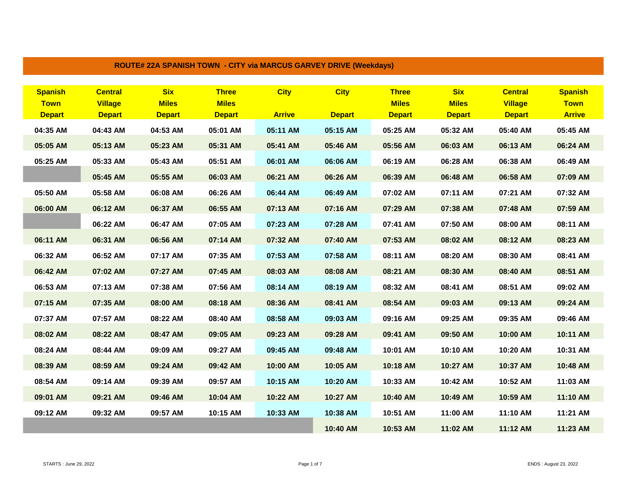|                                                |                                                   |                                             | $1001$ L# 22A OF ANIOH TOWN TOLET VIA MANOOO OAN YET DINIYE (WEENDAYS) |                              |                              |                                               |                                             |                                                   |                                                |
|------------------------------------------------|---------------------------------------------------|---------------------------------------------|------------------------------------------------------------------------|------------------------------|------------------------------|-----------------------------------------------|---------------------------------------------|---------------------------------------------------|------------------------------------------------|
| <b>Spanish</b><br><b>Town</b><br><b>Depart</b> | <b>Central</b><br><b>Village</b><br><b>Depart</b> | <b>Six</b><br><b>Miles</b><br><b>Depart</b> | <b>Three</b><br><b>Miles</b><br><b>Depart</b>                          | <b>City</b><br><b>Arrive</b> | <b>City</b><br><b>Depart</b> | <b>Three</b><br><b>Miles</b><br><b>Depart</b> | <b>Six</b><br><b>Miles</b><br><b>Depart</b> | <b>Central</b><br><b>Village</b><br><b>Depart</b> | <b>Spanish</b><br><b>Town</b><br><b>Arrive</b> |
| 04:35 AM                                       | 04:43 AM                                          | 04:53 AM                                    | 05:01 AM                                                               | 05:11 AM                     | 05:15 AM                     | 05:25 AM                                      | 05:32 AM                                    | 05:40 AM                                          | 05:45 AM                                       |
|                                                |                                                   |                                             |                                                                        |                              |                              |                                               |                                             |                                                   |                                                |
| 05:05 AM                                       | 05:13 AM                                          | 05:23 AM                                    | 05:31 AM                                                               | 05:41 AM                     | 05:46 AM                     | 05:56 AM                                      | 06:03 AM                                    | 06:13 AM                                          | 06:24 AM                                       |
| 05:25 AM                                       | 05:33 AM                                          | 05:43 AM                                    | 05:51 AM                                                               | 06:01 AM                     | 06:06 AM                     | 06:19 AM                                      | 06:28 AM                                    | 06:38 AM                                          | 06:49 AM                                       |
|                                                | 05:45 AM                                          | 05:55 AM                                    | 06:03 AM                                                               | 06:21 AM                     | 06:26 AM                     | 06:39 AM                                      | 06:48 AM                                    | 06:58 AM                                          | 07:09 AM                                       |
| 05:50 AM                                       | 05:58 AM                                          | 06:08 AM                                    | 06:26 AM                                                               | 06:44 AM                     | 06:49 AM                     | 07:02 AM                                      | 07:11 AM                                    | 07:21 AM                                          | 07:32 AM                                       |
| 06:00 AM                                       | 06:12 AM                                          | 06:37 AM                                    | 06:55 AM                                                               | 07:13 AM                     | 07:16 AM                     | 07:29 AM                                      | 07:38 AM                                    | 07:48 AM                                          | 07:59 AM                                       |
|                                                | 06:22 AM                                          | 06:47 AM                                    | 07:05 AM                                                               | 07:23 AM                     | 07:28 AM                     | 07:41 AM                                      | 07:50 AM                                    | 08:00 AM                                          | 08:11 AM                                       |
| 06:11 AM                                       | 06:31 AM                                          | 06:56 AM                                    | 07:14 AM                                                               | 07:32 AM                     | 07:40 AM                     | 07:53 AM                                      | 08:02 AM                                    | 08:12 AM                                          | 08:23 AM                                       |
| 06:32 AM                                       | 06:52 AM                                          | 07:17 AM                                    | 07:35 AM                                                               | 07:53 AM                     | 07:58 AM                     | 08:11 AM                                      | 08:20 AM                                    | 08:30 AM                                          | 08:41 AM                                       |
| 06:42 AM                                       | 07:02 AM                                          | 07:27 AM                                    | 07:45 AM                                                               | 08:03 AM                     | 08:08 AM                     | 08:21 AM                                      | 08:30 AM                                    | 08:40 AM                                          | 08:51 AM                                       |
| 06:53 AM                                       | 07:13 AM                                          | 07:38 AM                                    | 07:56 AM                                                               | 08:14 AM                     | 08:19 AM                     | 08:32 AM                                      | 08:41 AM                                    | 08:51 AM                                          | 09:02 AM                                       |
| 07:15 AM                                       | 07:35 AM                                          | 08:00 AM                                    | 08:18 AM                                                               | 08:36 AM                     | 08:41 AM                     | 08:54 AM                                      | 09:03 AM                                    | 09:13 AM                                          | 09:24 AM                                       |
| 07:37 AM                                       | 07:57 AM                                          | 08:22 AM                                    | 08:40 AM                                                               | 08:58 AM                     | 09:03 AM                     | 09:16 AM                                      | 09:25 AM                                    | 09:35 AM                                          | 09:46 AM                                       |
| 08:02 AM                                       | 08:22 AM                                          | 08:47 AM                                    | 09:05 AM                                                               | 09:23 AM                     | 09:28 AM                     | 09:41 AM                                      | 09:50 AM                                    | 10:00 AM                                          | 10:11 AM                                       |
| 08:24 AM                                       | 08:44 AM                                          | 09:09 AM                                    | 09:27 AM                                                               | 09:45 AM                     | 09:48 AM                     | 10:01 AM                                      | 10:10 AM                                    | 10:20 AM                                          | 10:31 AM                                       |
| 08:39 AM                                       | 08:59 AM                                          | 09:24 AM                                    | 09:42 AM                                                               | 10:00 AM                     | 10:05 AM                     | 10:18 AM                                      | 10:27 AM                                    | 10:37 AM                                          | 10:48 AM                                       |
| 08:54 AM                                       | 09:14 AM                                          | 09:39 AM                                    | 09:57 AM                                                               | 10:15 AM                     | 10:20 AM                     | 10:33 AM                                      | 10:42 AM                                    | 10:52 AM                                          | 11:03 AM                                       |
| 09:01 AM                                       | 09:21 AM                                          | 09:46 AM                                    | 10:04 AM                                                               | 10:22 AM                     | 10:27 AM                     | 10:40 AM                                      | 10:49 AM                                    | 10:59 AM                                          | 11:10 AM                                       |
| 09:12 AM                                       | 09:32 AM                                          | 09:57 AM                                    | 10:15 AM                                                               | 10:33 AM                     | 10:38 AM                     | 10:51 AM                                      | 11:00 AM                                    | 11:10 AM                                          | 11:21 AM                                       |
|                                                |                                                   |                                             |                                                                        |                              | 10:40 AM                     | 10:53 AM                                      | 11:02 AM                                    | 11:12 AM                                          | 11:23 AM                                       |

**ROUTE# 22A SPANISH TOWN - CITY via MARCUS GARVEY DRIVE (Weekdays)**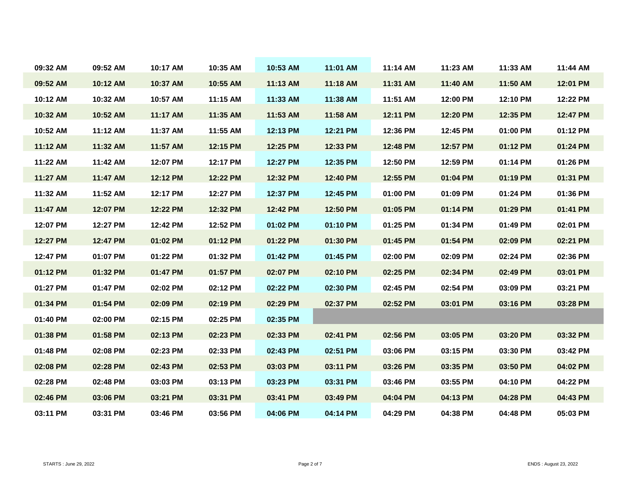| 09:32 AM | 09:52 AM | 10:17 AM | 10:35 AM | 10:53 AM | 11:01 AM | 11:14 AM | 11:23 AM | 11:33 AM | 11:44 AM |
|----------|----------|----------|----------|----------|----------|----------|----------|----------|----------|
| 09:52 AM | 10:12 AM | 10:37 AM | 10:55 AM | 11:13 AM | 11:18 AM | 11:31 AM | 11:40 AM | 11:50 AM | 12:01 PM |
| 10:12 AM | 10:32 AM | 10:57 AM | 11:15 AM | 11:33 AM | 11:38 AM | 11:51 AM | 12:00 PM | 12:10 PM | 12:22 PM |
| 10:32 AM | 10:52 AM | 11:17 AM | 11:35 AM | 11:53 AM | 11:58 AM | 12:11 PM | 12:20 PM | 12:35 PM | 12:47 PM |
| 10:52 AM | 11:12 AM | 11:37 AM | 11:55 AM | 12:13 PM | 12:21 PM | 12:36 PM | 12:45 PM | 01:00 PM | 01:12 PM |
| 11:12 AM | 11:32 AM | 11:57 AM | 12:15 PM | 12:25 PM | 12:33 PM | 12:48 PM | 12:57 PM | 01:12 PM | 01:24 PM |
| 11:22 AM | 11:42 AM | 12:07 PM | 12:17 PM | 12:27 PM | 12:35 PM | 12:50 PM | 12:59 PM | 01:14 PM | 01:26 PM |
| 11:27 AM | 11:47 AM | 12:12 PM | 12:22 PM | 12:32 PM | 12:40 PM | 12:55 PM | 01:04 PM | 01:19 PM | 01:31 PM |
| 11:32 AM | 11:52 AM | 12:17 PM | 12:27 PM | 12:37 PM | 12:45 PM | 01:00 PM | 01:09 PM | 01:24 PM | 01:36 PM |
| 11:47 AM | 12:07 PM | 12:22 PM | 12:32 PM | 12:42 PM | 12:50 PM | 01:05 PM | 01:14 PM | 01:29 PM | 01:41 PM |
| 12:07 PM | 12:27 PM | 12:42 PM | 12:52 PM | 01:02 PM | 01:10 PM | 01:25 PM | 01:34 PM | 01:49 PM | 02:01 PM |
| 12:27 PM | 12:47 PM | 01:02 PM | 01:12 PM | 01:22 PM | 01:30 PM | 01:45 PM | 01:54 PM | 02:09 PM | 02:21 PM |
| 12:47 PM | 01:07 PM | 01:22 PM | 01:32 PM | 01:42 PM | 01:45 PM | 02:00 PM | 02:09 PM | 02:24 PM | 02:36 PM |
| 01:12 PM | 01:32 PM | 01:47 PM | 01:57 PM | 02:07 PM | 02:10 PM | 02:25 PM | 02:34 PM | 02:49 PM | 03:01 PM |
| 01:27 PM | 01:47 PM | 02:02 PM | 02:12 PM | 02:22 PM | 02:30 PM | 02:45 PM | 02:54 PM | 03:09 PM | 03:21 PM |
| 01:34 PM | 01:54 PM | 02:09 PM | 02:19 PM | 02:29 PM | 02:37 PM | 02:52 PM | 03:01 PM | 03:16 PM | 03:28 PM |
| 01:40 PM | 02:00 PM | 02:15 PM | 02:25 PM | 02:35 PM |          |          |          |          |          |
| 01:38 PM | 01:58 PM | 02:13 PM | 02:23 PM | 02:33 PM | 02:41 PM | 02:56 PM | 03:05 PM | 03:20 PM | 03:32 PM |
| 01:48 PM | 02:08 PM | 02:23 PM | 02:33 PM | 02:43 PM | 02:51 PM | 03:06 PM | 03:15 PM | 03:30 PM | 03:42 PM |
| 02:08 PM | 02:28 PM | 02:43 PM | 02:53 PM | 03:03 PM | 03:11 PM | 03:26 PM | 03:35 PM | 03:50 PM | 04:02 PM |
| 02:28 PM | 02:48 PM | 03:03 PM | 03:13 PM | 03:23 PM | 03:31 PM | 03:46 PM | 03:55 PM | 04:10 PM | 04:22 PM |
| 02:46 PM | 03:06 PM | 03:21 PM | 03:31 PM | 03:41 PM | 03:49 PM | 04:04 PM | 04:13 PM | 04:28 PM | 04:43 PM |
| 03:11 PM | 03:31 PM | 03:46 PM | 03:56 PM | 04:06 PM | 04:14 PM | 04:29 PM | 04:38 PM | 04:48 PM | 05:03 PM |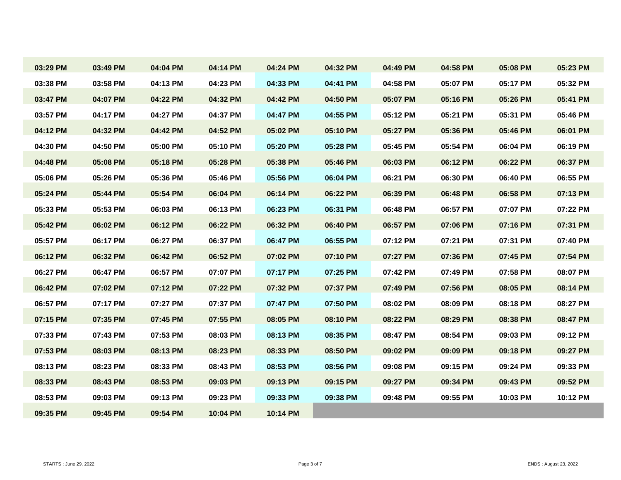| 03:29 PM | 03:49 PM | 04:04 PM | 04:14 PM | 04:24 PM | 04:32 PM | 04:49 PM | 04:58 PM | 05:08 PM | 05:23 PM |
|----------|----------|----------|----------|----------|----------|----------|----------|----------|----------|
| 03:38 PM | 03:58 PM | 04:13 PM | 04:23 PM | 04:33 PM | 04:41 PM | 04:58 PM | 05:07 PM | 05:17 PM | 05:32 PM |
| 03:47 PM | 04:07 PM | 04:22 PM | 04:32 PM | 04:42 PM | 04:50 PM | 05:07 PM | 05:16 PM | 05:26 PM | 05:41 PM |
| 03:57 PM | 04:17 PM | 04:27 PM | 04:37 PM | 04:47 PM | 04:55 PM | 05:12 PM | 05:21 PM | 05:31 PM | 05:46 PM |
| 04:12 PM | 04:32 PM | 04:42 PM | 04:52 PM | 05:02 PM | 05:10 PM | 05:27 PM | 05:36 PM | 05:46 PM | 06:01 PM |
| 04:30 PM | 04:50 PM | 05:00 PM | 05:10 PM | 05:20 PM | 05:28 PM | 05:45 PM | 05:54 PM | 06:04 PM | 06:19 PM |
| 04:48 PM | 05:08 PM | 05:18 PM | 05:28 PM | 05:38 PM | 05:46 PM | 06:03 PM | 06:12 PM | 06:22 PM | 06:37 PM |
| 05:06 PM | 05:26 PM | 05:36 PM | 05:46 PM | 05:56 PM | 06:04 PM | 06:21 PM | 06:30 PM | 06:40 PM | 06:55 PM |
| 05:24 PM | 05:44 PM | 05:54 PM | 06:04 PM | 06:14 PM | 06:22 PM | 06:39 PM | 06:48 PM | 06:58 PM | 07:13 PM |
| 05:33 PM | 05:53 PM | 06:03 PM | 06:13 PM | 06:23 PM | 06:31 PM | 06:48 PM | 06:57 PM | 07:07 PM | 07:22 PM |
| 05:42 PM | 06:02 PM | 06:12 PM | 06:22 PM | 06:32 PM | 06:40 PM | 06:57 PM | 07:06 PM | 07:16 PM | 07:31 PM |
| 05:57 PM | 06:17 PM | 06:27 PM | 06:37 PM | 06:47 PM | 06:55 PM | 07:12 PM | 07:21 PM | 07:31 PM | 07:40 PM |
| 06:12 PM | 06:32 PM | 06:42 PM | 06:52 PM | 07:02 PM | 07:10 PM | 07:27 PM | 07:36 PM | 07:45 PM | 07:54 PM |
| 06:27 PM | 06:47 PM | 06:57 PM | 07:07 PM | 07:17 PM | 07:25 PM | 07:42 PM | 07:49 PM | 07:58 PM | 08:07 PM |
| 06:42 PM | 07:02 PM | 07:12 PM | 07:22 PM | 07:32 PM | 07:37 PM | 07:49 PM | 07:56 PM | 08:05 PM | 08:14 PM |
| 06:57 PM | 07:17 PM | 07:27 PM | 07:37 PM | 07:47 PM | 07:50 PM | 08:02 PM | 08:09 PM | 08:18 PM | 08:27 PM |
| 07:15 PM | 07:35 PM | 07:45 PM | 07:55 PM | 08:05 PM | 08:10 PM | 08:22 PM | 08:29 PM | 08:38 PM | 08:47 PM |
| 07:33 PM | 07:43 PM | 07:53 PM | 08:03 PM | 08:13 PM | 08:35 PM | 08:47 PM | 08:54 PM | 09:03 PM | 09:12 PM |
| 07:53 PM | 08:03 PM | 08:13 PM | 08:23 PM | 08:33 PM | 08:50 PM | 09:02 PM | 09:09 PM | 09:18 PM | 09:27 PM |
| 08:13 PM | 08:23 PM | 08:33 PM | 08:43 PM | 08:53 PM | 08:56 PM | 09:08 PM | 09:15 PM | 09:24 PM | 09:33 PM |
| 08:33 PM | 08:43 PM | 08:53 PM | 09:03 PM | 09:13 PM | 09:15 PM | 09:27 PM | 09:34 PM | 09:43 PM | 09:52 PM |
| 08:53 PM | 09:03 PM | 09:13 PM | 09:23 PM | 09:33 PM | 09:38 PM | 09:48 PM | 09:55 PM | 10:03 PM | 10:12 PM |
| 09:35 PM | 09:45 PM | 09:54 PM | 10:04 PM | 10:14 PM |          |          |          |          |          |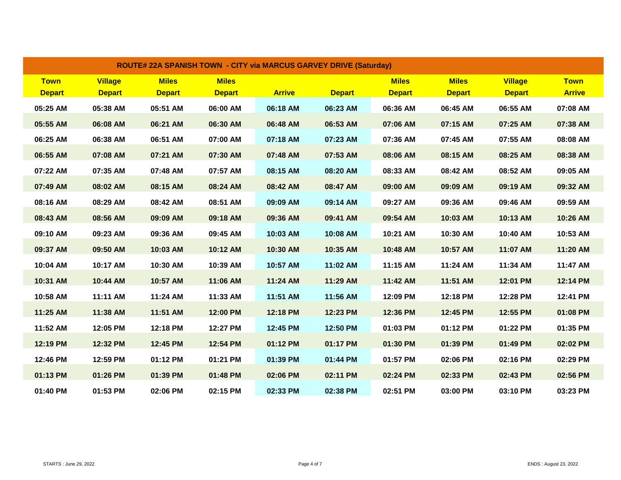| <b>ROUTE# 22A SPANISH TOWN - CITY via MARCUS GARVEY DRIVE (Saturday)</b> |                                 |                               |                               |               |               |                               |                               |                                 |                              |  |
|--------------------------------------------------------------------------|---------------------------------|-------------------------------|-------------------------------|---------------|---------------|-------------------------------|-------------------------------|---------------------------------|------------------------------|--|
| <b>Town</b><br><b>Depart</b>                                             | <b>Village</b><br><b>Depart</b> | <b>Miles</b><br><b>Depart</b> | <b>Miles</b><br><b>Depart</b> | <b>Arrive</b> | <b>Depart</b> | <b>Miles</b><br><b>Depart</b> | <b>Miles</b><br><b>Depart</b> | <b>Village</b><br><b>Depart</b> | <b>Town</b><br><b>Arrive</b> |  |
| 05:25 AM                                                                 | 05:38 AM                        | 05:51 AM                      | 06:00 AM                      | 06:18 AM      | 06:23 AM      | 06:36 AM                      | 06:45 AM                      | 06:55 AM                        | 07:08 AM                     |  |
| 05:55 AM                                                                 | 06:08 AM                        | 06:21 AM                      | 06:30 AM                      | 06:48 AM      | 06:53 AM      | 07:06 AM                      | 07:15 AM                      | 07:25 AM                        | 07:38 AM                     |  |
| 06:25 AM                                                                 | 06:38 AM                        | 06:51 AM                      | 07:00 AM                      | 07:18 AM      | 07:23 AM      | 07:36 AM                      | 07:45 AM                      | 07:55 AM                        | 08:08 AM                     |  |
| 06:55 AM                                                                 | 07:08 AM                        | 07:21 AM                      | 07:30 AM                      | 07:48 AM      | 07:53 AM      | 08:06 AM                      | 08:15 AM                      | 08:25 AM                        | 08:38 AM                     |  |
| 07:22 AM                                                                 | 07:35 AM                        | 07:48 AM                      | 07:57 AM                      | 08:15 AM      | 08:20 AM      | 08:33 AM                      | 08:42 AM                      | 08:52 AM                        | 09:05 AM                     |  |
| 07:49 AM                                                                 | 08:02 AM                        | 08:15 AM                      | 08:24 AM                      | 08:42 AM      | 08:47 AM      | 09:00 AM                      | 09:09 AM                      | 09:19 AM                        | 09:32 AM                     |  |
| 08:16 AM                                                                 | 08:29 AM                        | 08:42 AM                      | 08:51 AM                      | 09:09 AM      | 09:14 AM      | 09:27 AM                      | 09:36 AM                      | 09:46 AM                        | 09:59 AM                     |  |
| 08:43 AM                                                                 | 08:56 AM                        | 09:09 AM                      | 09:18 AM                      | 09:36 AM      | 09:41 AM      | 09:54 AM                      | 10:03 AM                      | 10:13 AM                        | 10:26 AM                     |  |
| 09:10 AM                                                                 | 09:23 AM                        | 09:36 AM                      | 09:45 AM                      | 10:03 AM      | 10:08 AM      | 10:21 AM                      | 10:30 AM                      | 10:40 AM                        | 10:53 AM                     |  |
| 09:37 AM                                                                 | 09:50 AM                        | 10:03 AM                      | 10:12 AM                      | 10:30 AM      | 10:35 AM      | 10:48 AM                      | 10:57 AM                      | 11:07 AM                        | 11:20 AM                     |  |
| 10:04 AM                                                                 | 10:17 AM                        | 10:30 AM                      | 10:39 AM                      | 10:57 AM      | 11:02 AM      | 11:15 AM                      | 11:24 AM                      | 11:34 AM                        | 11:47 AM                     |  |
| 10:31 AM                                                                 | 10:44 AM                        | 10:57 AM                      | 11:06 AM                      | 11:24 AM      | 11:29 AM      | 11:42 AM                      | 11:51 AM                      | 12:01 PM                        | 12:14 PM                     |  |
| 10:58 AM                                                                 | 11:11 AM                        | 11:24 AM                      | 11:33 AM                      | 11:51 AM      | 11:56 AM      | 12:09 PM                      | 12:18 PM                      | 12:28 PM                        | 12:41 PM                     |  |
| 11:25 AM                                                                 | 11:38 AM                        | 11:51 AM                      | 12:00 PM                      | 12:18 PM      | 12:23 PM      | 12:36 PM                      | 12:45 PM                      | 12:55 PM                        | 01:08 PM                     |  |
| 11:52 AM                                                                 | 12:05 PM                        | 12:18 PM                      | 12:27 PM                      | 12:45 PM      | 12:50 PM      | 01:03 PM                      | 01:12 PM                      | 01:22 PM                        | 01:35 PM                     |  |
| 12:19 PM                                                                 | 12:32 PM                        | 12:45 PM                      | 12:54 PM                      | 01:12 PM      | 01:17 PM      | 01:30 PM                      | 01:39 PM                      | 01:49 PM                        | 02:02 PM                     |  |
| 12:46 PM                                                                 | 12:59 PM                        | 01:12 PM                      | 01:21 PM                      | 01:39 PM      | 01:44 PM      | 01:57 PM                      | 02:06 PM                      | 02:16 PM                        | 02:29 PM                     |  |
| 01:13 PM                                                                 | 01:26 PM                        | 01:39 PM                      | 01:48 PM                      | 02:06 PM      | 02:11 PM      | 02:24 PM                      | 02:33 PM                      | 02:43 PM                        | 02:56 PM                     |  |
| 01:40 PM                                                                 | 01:53 PM                        | 02:06 PM                      | 02:15 PM                      | 02:33 PM      | 02:38 PM      | 02:51 PM                      | 03:00 PM                      | 03:10 PM                        | 03:23 PM                     |  |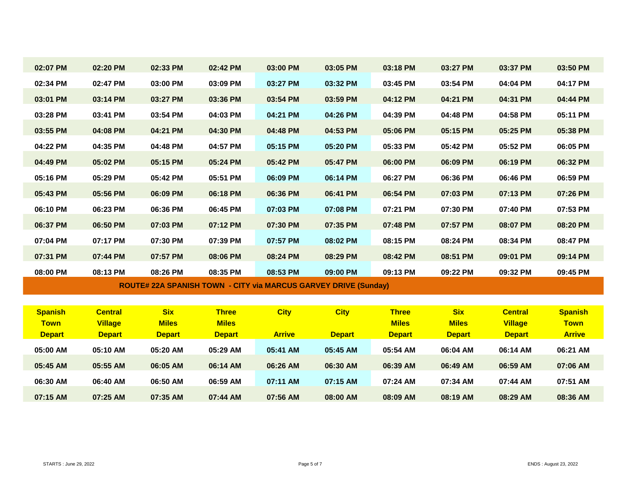| 02:07 PM       | 02:20 PM       | 02:33 PM      | 02:42 PM      | 03:00 PM      | 03:05 PM                                                               | 03:18 PM      | 03:27 PM      | 03:37 PM       | 03:50 PM       |
|----------------|----------------|---------------|---------------|---------------|------------------------------------------------------------------------|---------------|---------------|----------------|----------------|
| 02:34 PM       | 02:47 PM       | 03:00 PM      | 03:09 PM      | 03:27 PM      | 03:32 PM                                                               | 03:45 PM      | 03:54 PM      | 04:04 PM       | 04:17 PM       |
| 03:01 PM       | 03:14 PM       | 03:27 PM      | 03:36 PM      | 03:54 PM      | 03:59 PM                                                               | 04:12 PM      | 04:21 PM      | 04:31 PM       | 04:44 PM       |
| 03:28 PM       | 03:41 PM       | 03:54 PM      | 04:03 PM      | 04:21 PM      | 04:26 PM                                                               | 04:39 PM      | 04:48 PM      | 04:58 PM       | 05:11 PM       |
| 03:55 PM       | 04:08 PM       | 04:21 PM      | 04:30 PM      | 04:48 PM      | 04:53 PM                                                               | 05:06 PM      | 05:15 PM      | 05:25 PM       | 05:38 PM       |
| 04:22 PM       | 04:35 PM       | 04:48 PM      | 04:57 PM      | 05:15 PM      | 05:20 PM                                                               | 05:33 PM      | 05:42 PM      | 05:52 PM       | 06:05 PM       |
| 04:49 PM       | 05:02 PM       | 05:15 PM      | 05:24 PM      | 05:42 PM      | 05:47 PM                                                               | 06:00 PM      | 06:09 PM      | 06:19 PM       | 06:32 PM       |
| 05:16 PM       | 05:29 PM       | 05:42 PM      | 05:51 PM      | 06:09 PM      | 06:14 PM                                                               | 06:27 PM      | 06:36 PM      | 06:46 PM       | 06:59 PM       |
| 05:43 PM       | 05:56 PM       | 06:09 PM      | 06:18 PM      | 06:36 PM      | 06:41 PM                                                               | 06:54 PM      | 07:03 PM      | 07:13 PM       | 07:26 PM       |
| 06:10 PM       | 06:23 PM       | 06:36 PM      | 06:45 PM      | 07:03 PM      | 07:08 PM                                                               | 07:21 PM      | 07:30 PM      | 07:40 PM       | 07:53 PM       |
| 06:37 PM       | 06:50 PM       | 07:03 PM      | 07:12 PM      | 07:30 PM      | 07:35 PM                                                               | 07:48 PM      | 07:57 PM      | 08:07 PM       | 08:20 PM       |
| 07:04 PM       | 07:17 PM       | 07:30 PM      | 07:39 PM      | 07:57 PM      | 08:02 PM                                                               | 08:15 PM      | 08:24 PM      | 08:34 PM       | 08:47 PM       |
| 07:31 PM       | 07:44 PM       | 07:57 PM      | 08:06 PM      | 08:24 PM      | 08:29 PM                                                               | 08:42 PM      | 08:51 PM      | 09:01 PM       | 09:14 PM       |
| 08:00 PM       | 08:13 PM       | 08:26 PM      | 08:35 PM      | 08:53 PM      | 09:00 PM                                                               | 09:13 PM      | 09:22 PM      | 09:32 PM       | 09:45 PM       |
|                |                |               |               |               | <b>ROUTE# 22A SPANISH TOWN - CITY via MARCUS GARVEY DRIVE (Sunday)</b> |               |               |                |                |
|                |                |               |               |               |                                                                        |               |               |                |                |
| <b>Spanish</b> | <b>Central</b> | <b>Six</b>    | <b>Three</b>  | <b>City</b>   | <b>City</b>                                                            | <b>Three</b>  | <b>Six</b>    | <b>Central</b> | <b>Spanish</b> |
| <b>Town</b>    | <b>Village</b> | <b>Miles</b>  | <b>Miles</b>  |               |                                                                        | <b>Miles</b>  | <b>Miles</b>  | <b>Village</b> | <b>Town</b>    |
| <b>Depart</b>  | <b>Depart</b>  | <b>Depart</b> | <b>Depart</b> | <b>Arrive</b> | <b>Depart</b>                                                          | <b>Depart</b> | <b>Depart</b> | <b>Depart</b>  | <b>Arrive</b>  |
| 05:00 AM       | 05:10 AM       | 05:20 AM      | 05:29 AM      | 05:41 AM      | 05:45 AM                                                               | 05:54 AM      | 06:04 AM      | 06:14 AM       | 06:21 AM       |
| 05:45 AM       | 05:55 AM       | 06:05 AM      | 06:14 AM      | 06:26 AM      | 06:30 AM                                                               | 06:39 AM      | 06:49 AM      | 06:59 AM       | 07:06 AM       |
| 06:30 AM       | 06:40 AM       | 06:50 AM      | 06:59 AM      | 07:11 AM      | 07:15 AM                                                               | 07:24 AM      | 07:34 AM      | 07:44 AM       | 07:51 AM       |

**07:15 AM 07:25 AM 07:35 AM 07:44 AM 07:56 AM 08:00 AM 08:09 AM 08:19 AM 08:29 AM 08:36 AM**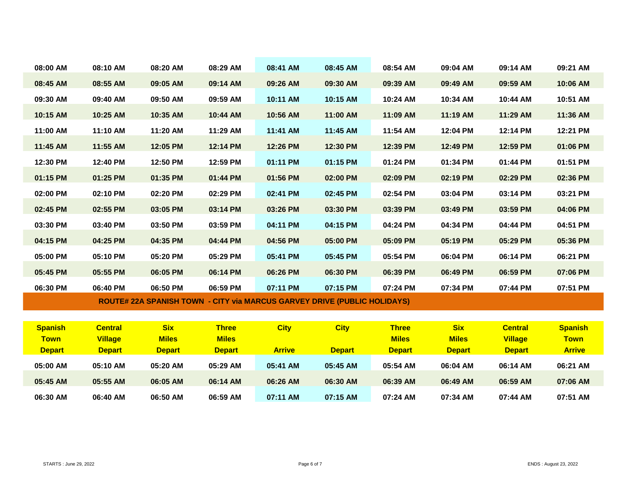| 08:00 AM       | 08:10 AM       | 08:20 AM      | 08:29 AM      | 08:41 AM      | 08:45 AM                                                                        | 08:54 AM      | 09:04 AM      | 09:14 AM       | 09:21 AM       |  |
|----------------|----------------|---------------|---------------|---------------|---------------------------------------------------------------------------------|---------------|---------------|----------------|----------------|--|
| 08:45 AM       | 08:55 AM       | 09:05 AM      | 09:14 AM      | 09:26 AM      | 09:30 AM                                                                        | 09:39 AM      | 09:49 AM      | 09:59 AM       | 10:06 AM       |  |
| 09:30 AM       | 09:40 AM       | 09:50 AM      | 09:59 AM      | 10:11 AM      | 10:15 AM                                                                        | 10:24 AM      | 10:34 AM      | 10:44 AM       | 10:51 AM       |  |
| 10:15 AM       | 10:25 AM       | 10:35 AM      | 10:44 AM      | 10:56 AM      | 11:00 AM                                                                        | 11:09 AM      | 11:19 AM      | 11:29 AM       | 11:36 AM       |  |
| 11:00 AM       | 11:10 AM       | 11:20 AM      | 11:29 AM      | 11:41 AM      | 11:45 AM                                                                        | 11:54 AM      | 12:04 PM      | 12:14 PM       | 12:21 PM       |  |
| 11:45 AM       | 11:55 AM       | 12:05 PM      | 12:14 PM      | 12:26 PM      | 12:30 PM                                                                        | 12:39 PM      | 12:49 PM      | 12:59 PM       | 01:06 PM       |  |
| 12:30 PM       | 12:40 PM       | 12:50 PM      | 12:59 PM      | 01:11 PM      | 01:15 PM                                                                        | 01:24 PM      | 01:34 PM      | 01:44 PM       | 01:51 PM       |  |
| 01:15 PM       | 01:25 PM       | 01:35 PM      | 01:44 PM      | 01:56 PM      | 02:00 PM                                                                        | 02:09 PM      | 02:19 PM      | 02:29 PM       | 02:36 PM       |  |
| 02:00 PM       | 02:10 PM       | 02:20 PM      | 02:29 PM      | 02:41 PM      | 02:45 PM                                                                        | 02:54 PM      | 03:04 PM      | 03:14 PM       | 03:21 PM       |  |
| 02:45 PM       | 02:55 PM       | 03:05 PM      | 03:14 PM      | 03:26 PM      | 03:30 PM                                                                        | 03:39 PM      | 03:49 PM      | 03:59 PM       | 04:06 PM       |  |
| 03:30 PM       | 03:40 PM       | 03:50 PM      | 03:59 PM      | 04:11 PM      | 04:15 PM                                                                        | 04:24 PM      | 04:34 PM      | 04:44 PM       | 04:51 PM       |  |
| 04:15 PM       | 04:25 PM       | 04:35 PM      | 04:44 PM      | 04:56 PM      | 05:00 PM                                                                        | 05:09 PM      | 05:19 PM      | 05:29 PM       | 05:36 PM       |  |
| 05:00 PM       | 05:10 PM       | 05:20 PM      | 05:29 PM      | 05:41 PM      | 05:45 PM                                                                        | 05:54 PM      | 06:04 PM      | 06:14 PM       | 06:21 PM       |  |
| 05:45 PM       | 05:55 PM       | 06:05 PM      | 06:14 PM      | 06:26 PM      | 06:30 PM                                                                        | 06:39 PM      | 06:49 PM      | 06:59 PM       | 07:06 PM       |  |
| 06:30 PM       | 06:40 PM       | 06:50 PM      | 06:59 PM      | 07:11 PM      | 07:15 PM                                                                        | 07:24 PM      | 07:34 PM      | 07:44 PM       | 07:51 PM       |  |
|                |                |               |               |               | <b>ROUTE# 22A SPANISH TOWN - CITY via MARCUS GARVEY DRIVE (PUBLIC HOLIDAYS)</b> |               |               |                |                |  |
|                |                |               |               |               |                                                                                 |               |               |                |                |  |
| <b>Spanish</b> | <b>Central</b> | <b>Six</b>    | <b>Three</b>  | <b>City</b>   | <b>City</b>                                                                     | <b>Three</b>  | <b>Six</b>    | <b>Central</b> | <b>Spanish</b> |  |
| <b>Town</b>    | <b>Village</b> | <b>Miles</b>  | <b>Miles</b>  |               |                                                                                 | <b>Miles</b>  | <b>Miles</b>  | <b>Village</b> | <b>Town</b>    |  |
| <b>Depart</b>  | <b>Depart</b>  | <b>Depart</b> | <b>Depart</b> | <b>Arrive</b> | <b>Depart</b>                                                                   | <b>Depart</b> | <b>Depart</b> | <b>Depart</b>  | <b>Arrive</b>  |  |
| 05:00 AM       | 05:10 AM       | 05:20 AM      | 05:29 AM      | 05:41 AM      | 05:45 AM                                                                        | 05:54 AM      | 06:04 AM      | 06:14 AM       | 06:21 AM       |  |
| 05:45 AM       | 05:55 AM       | 06:05 AM      | 06:14 AM      | 06:26 AM      | 06:30 AM                                                                        | 06:39 AM      | 06:49 AM      | 06:59 AM       | 07:06 AM       |  |
| 06:30 AM       | 06:40 AM       | 06:50 AM      | 06:59 AM      | 07:11 AM      | 07:15 AM                                                                        | 07:24 AM      | 07:34 AM      | 07:44 AM       | 07:51 AM       |  |